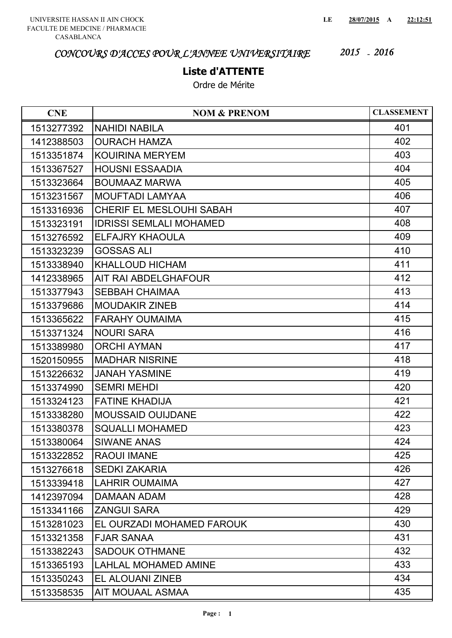## **Liste d'ATTENTE**

| <b>CNE</b> | <b>NOM &amp; PRENOM</b>         | <b>CLASSEMENT</b> |
|------------|---------------------------------|-------------------|
| 1513277392 | <b>NAHIDI NABILA</b>            | 401               |
| 1412388503 | <b>OURACH HAMZA</b>             | 402               |
| 1513351874 | <b>KOUIRINA MERYEM</b>          | 403               |
| 1513367527 | <b>HOUSNI ESSAADIA</b>          | 404               |
| 1513323664 | <b>BOUMAAZ MARWA</b>            | 405               |
| 1513231567 | <b>MOUFTADI LAMYAA</b>          | 406               |
| 1513316936 | <b>CHERIF EL MESLOUHI SABAH</b> | 407               |
| 1513323191 | <b>IDRISSI SEMLALI MOHAMED</b>  | 408               |
| 1513276592 | <b>ELFAJRY KHAOULA</b>          | 409               |
| 1513323239 | <b>GOSSAS ALI</b>               | 410               |
| 1513338940 | <b>KHALLOUD HICHAM</b>          | 411               |
| 1412338965 | AIT RAI ABDELGHAFOUR            | 412               |
| 1513377943 | <b>SEBBAH CHAIMAA</b>           | 413               |
| 1513379686 | <b>MOUDAKIR ZINEB</b>           | 414               |
| 1513365622 | <b>FARAHY OUMAIMA</b>           | 415               |
| 1513371324 | <b>NOURI SARA</b>               | 416               |
| 1513389980 | <b>ORCHI AYMAN</b>              | 417               |
| 1520150955 | <b>MADHAR NISRINE</b>           | 418               |
| 1513226632 | <b>JANAH YASMINE</b>            | 419               |
| 1513374990 | <b>SEMRI MEHDI</b>              | 420               |
| 1513324123 | <b>FATINE KHADIJA</b>           | 421               |
| 1513338280 | <b>MOUSSAID OUIJDANE</b>        | 422               |
| 1513380378 | <b>SQUALLI MOHAMED</b>          | 423               |
| 1513380064 | <b>SIWANE ANAS</b>              | 424               |
| 1513322852 | <b>RAOUI IMANE</b>              | 425               |
| 1513276618 | <b>SEDKI ZAKARIA</b>            | 426               |
| 1513339418 | <b>LAHRIR OUMAIMA</b>           | 427               |
| 1412397094 | DAMAAN ADAM                     | 428               |
| 1513341166 | <b>ZANGUI SARA</b>              | 429               |
| 1513281023 | EL OURZADI MOHAMED FAROUK       | 430               |
| 1513321358 | <b>FJAR SANAA</b>               | 431               |
| 1513382243 | <b>SADOUK OTHMANE</b>           | 432               |
| 1513365193 | <b>LAHLAL MOHAMED AMINE</b>     | 433               |
| 1513350243 | EL ALOUANI ZINEB                | 434               |
| 1513358535 | AIT MOUAAL ASMAA                | 435               |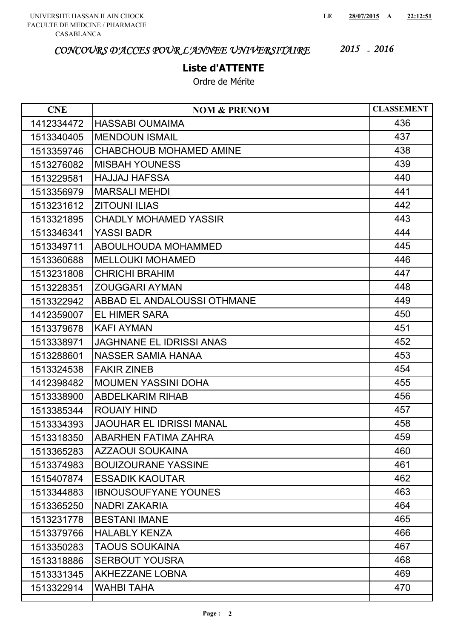### **Liste d'ATTENTE**

| <b>CNE</b> | <b>NOM &amp; PRENOM</b>         | <b>CLASSEMENT</b> |
|------------|---------------------------------|-------------------|
| 1412334472 | <b>HASSABI OUMAIMA</b>          | 436               |
| 1513340405 | <b>MENDOUN ISMAIL</b>           | 437               |
| 1513359746 | <b>CHABCHOUB MOHAMED AMINE</b>  | 438               |
| 1513276082 | <b>MISBAH YOUNESS</b>           | 439               |
| 1513229581 | <b>HAJJAJ HAFSSA</b>            | 440               |
| 1513356979 | <b>MARSALI MEHDI</b>            | 441               |
| 1513231612 | <b>ZITOUNI ILIAS</b>            | 442               |
| 1513321895 | <b>CHADLY MOHAMED YASSIR</b>    | 443               |
| 1513346341 | <b>YASSI BADR</b>               | 444               |
| 1513349711 | <b>ABOULHOUDA MOHAMMED</b>      | 445               |
| 1513360688 | <b>MELLOUKI MOHAMED</b>         | 446               |
| 1513231808 | <b>CHRICHI BRAHIM</b>           | 447               |
| 1513228351 | <b>ZOUGGARI AYMAN</b>           | 448               |
| 1513322942 | ABBAD EL ANDALOUSSI OTHMANE     | 449               |
| 1412359007 | <b>EL HIMER SARA</b>            | 450               |
| 1513379678 | <b>KAFI AYMAN</b>               | 451               |
| 1513338971 | <b>JAGHNANE EL IDRISSI ANAS</b> | 452               |
| 1513288601 | <b>NASSER SAMIA HANAA</b>       | 453               |
| 1513324538 | <b>FAKIR ZINEB</b>              | 454               |
| 1412398482 | <b>MOUMEN YASSINI DOHA</b>      | 455               |
| 1513338900 | <b>ABDELKARIM RIHAB</b>         | 456               |
| 1513385344 | <b>ROUAIY HIND</b>              | 457               |
| 1513334393 | <b>JAOUHAR EL IDRISSI MANAL</b> | 458               |
| 1513318350 | ABARHEN FATIMA ZAHRA            | 459               |
| 1513365283 | <b>AZZAOUI SOUKAINA</b>         | 460               |
| 1513374983 | <b>BOUIZOURANE YASSINE</b>      | 461               |
| 1515407874 | <b>ESSADIK KAOUTAR</b>          | 462               |
| 1513344883 | <b>IBNOUSOUFYANE YOUNES</b>     | 463               |
| 1513365250 | <b>NADRI ZAKARIA</b>            | 464               |
| 1513231778 | <b>BESTANI IMANE</b>            | 465               |
| 1513379766 | <b>HALABLY KENZA</b>            | 466               |
| 1513350283 | <b>TAOUS SOUKAINA</b>           | 467               |
| 1513318886 | <b>SERBOUT YOUSRA</b>           | 468               |
| 1513331345 | <b>AKHEZZANE LOBNA</b>          | 469               |
| 1513322914 | <b>WAHBI TAHA</b>               | 470               |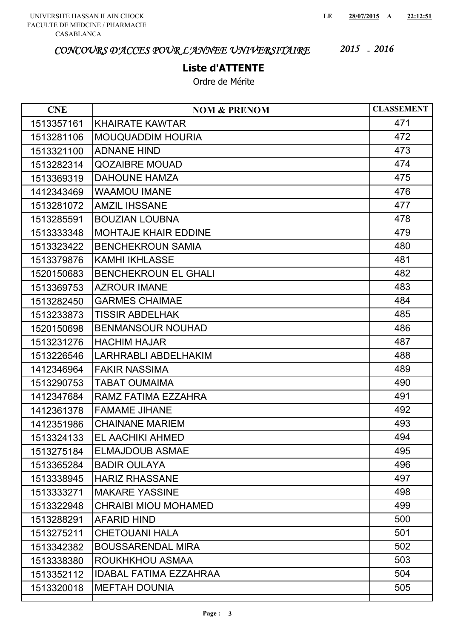#### **Liste d'ATTENTE**

| <b>CNE</b> | <b>NOM &amp; PRENOM</b>       | <b>CLASSEMENT</b> |
|------------|-------------------------------|-------------------|
| 1513357161 | <b>KHAIRATE KAWTAR</b>        | 471               |
| 1513281106 | <b>MOUQUADDIM HOURIA</b>      | 472               |
| 1513321100 | <b>ADNANE HIND</b>            | 473               |
| 1513282314 | <b>QOZAIBRE MOUAD</b>         | 474               |
| 1513369319 | <b>DAHOUNE HAMZA</b>          | 475               |
| 1412343469 | <b>WAAMOU IMANE</b>           | 476               |
| 1513281072 | <b>AMZIL IHSSANE</b>          | 477               |
| 1513285591 | <b>BOUZIAN LOUBNA</b>         | 478               |
| 1513333348 | <b>MOHTAJE KHAIR EDDINE</b>   | 479               |
| 1513323422 | <b>BENCHEKROUN SAMIA</b>      | 480               |
| 1513379876 | <b>KAMHI IKHLASSE</b>         | 481               |
| 1520150683 | <b>BENCHEKROUN EL GHALI</b>   | 482               |
| 1513369753 | <b>AZROUR IMANE</b>           | 483               |
| 1513282450 | <b>GARMES CHAIMAE</b>         | 484               |
| 1513233873 | <b>TISSIR ABDELHAK</b>        | 485               |
| 1520150698 | <b>BENMANSOUR NOUHAD</b>      | 486               |
| 1513231276 | <b>HACHIM HAJAR</b>           | 487               |
| 1513226546 | <b>LARHRABLI ABDELHAKIM</b>   | 488               |
| 1412346964 | <b>FAKIR NASSIMA</b>          | 489               |
| 1513290753 | <b>TABAT OUMAIMA</b>          | 490               |
| 1412347684 | RAMZ FATIMA EZZAHRA           | 491               |
| 1412361378 | <b>FAMAME JIHANE</b>          | 492               |
| 1412351986 | <b>CHAINANE MARIEM</b>        | 493               |
| 1513324133 | EL AACHIKI AHMED              | 494               |
| 1513275184 | <b>ELMAJDOUB ASMAE</b>        | 495               |
| 1513365284 | <b>BADIR OULAYA</b>           | 496               |
| 1513338945 | <b>HARIZ RHASSANE</b>         | 497               |
| 1513333271 | <b>MAKARE YASSINE</b>         | 498               |
| 1513322948 | <b>CHRAIBI MIOU MOHAMED</b>   | 499               |
| 1513288291 | <b>AFARID HIND</b>            | 500               |
| 1513275211 | <b>CHETOUANI HALA</b>         | 501               |
| 1513342382 | <b>BOUSSARENDAL MIRA</b>      | 502               |
| 1513338380 | ROUKHKHOU ASMAA               | 503               |
| 1513352112 | <b>IDABAL FATIMA EZZAHRAA</b> | 504               |
| 1513320018 | <b>MEFTAH DOUNIA</b>          | 505               |
|            |                               |                   |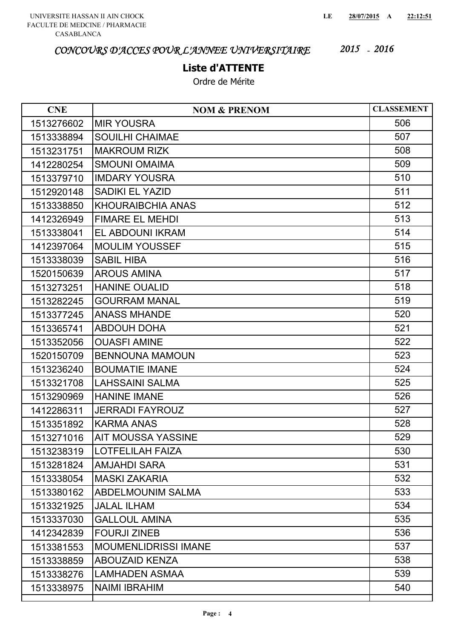### **Liste d'ATTENTE**

| <b>CNE</b> | <b>NOM &amp; PRENOM</b>     | <b>CLASSEMENT</b> |
|------------|-----------------------------|-------------------|
| 1513276602 | <b>MIR YOUSRA</b>           | 506               |
| 1513338894 | <b>SOUILHI CHAIMAE</b>      | 507               |
| 1513231751 | <b>MAKROUM RIZK</b>         | 508               |
| 1412280254 | <b>SMOUNI OMAIMA</b>        | 509               |
| 1513379710 | <b>IMDARY YOUSRA</b>        | 510               |
| 1512920148 | <b>SADIKI EL YAZID</b>      | 511               |
| 1513338850 | <b>KHOURAIBCHIA ANAS</b>    | 512               |
| 1412326949 | <b>FIMARE EL MEHDI</b>      | 513               |
| 1513338041 | EL ABDOUNI IKRAM            | 514               |
| 1412397064 | <b>MOULIM YOUSSEF</b>       | 515               |
| 1513338039 | <b>SABIL HIBA</b>           | 516               |
| 1520150639 | <b>AROUS AMINA</b>          | 517               |
| 1513273251 | <b>HANINE OUALID</b>        | 518               |
| 1513282245 | <b>GOURRAM MANAL</b>        | 519               |
| 1513377245 | <b>ANASS MHANDE</b>         | 520               |
| 1513365741 | <b>ABDOUH DOHA</b>          | 521               |
| 1513352056 | <b>OUASFI AMINE</b>         | 522               |
| 1520150709 | <b>BENNOUNA MAMOUN</b>      | 523               |
| 1513236240 | <b>BOUMATIE IMANE</b>       | 524               |
| 1513321708 | <b>LAHSSAINI SALMA</b>      | 525               |
| 1513290969 | <b>HANINE IMANE</b>         | 526               |
| 1412286311 | <b>JERRADI FAYROUZ</b>      | 527               |
| 1513351892 | <b>KARMA ANAS</b>           | 528               |
| 1513271016 | <b>AIT MOUSSA YASSINE</b>   | 529               |
| 1513238319 | <b>LOTFELILAH FAIZA</b>     | 530               |
| 1513281824 | <b>AMJAHDI SARA</b>         | 531               |
| 1513338054 | <b>MASKI ZAKARIA</b>        | 532               |
| 1513380162 | <b>ABDELMOUNIM SALMA</b>    | 533               |
| 1513321925 | <b>JALAL ILHAM</b>          | 534               |
| 1513337030 | <b>GALLOUL AMINA</b>        | 535               |
| 1412342839 | <b>FOURJI ZINEB</b>         | 536               |
| 1513381553 | <b>MOUMENLIDRISSI IMANE</b> | 537               |
| 1513338859 | <b>ABOUZAID KENZA</b>       | 538               |
| 1513338276 | <b>LAMHADEN ASMAA</b>       | 539               |
| 1513338975 | <b>NAIMI IBRAHIM</b>        | 540               |
|            |                             |                   |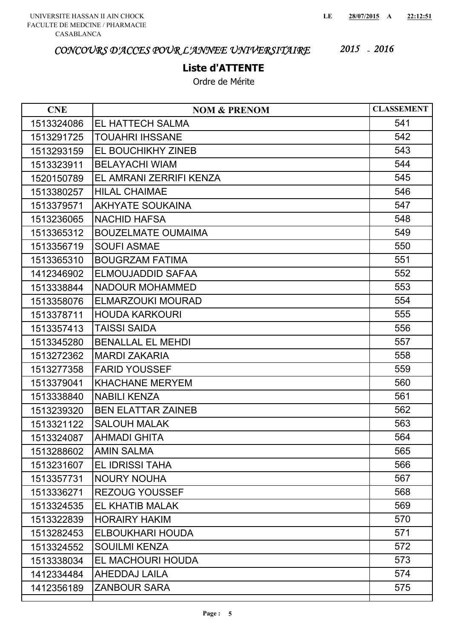### **Liste d'ATTENTE**

| <b>CNE</b> | <b>NOM &amp; PRENOM</b>   | <b>CLASSEMENT</b> |
|------------|---------------------------|-------------------|
| 1513324086 | <b>EL HATTECH SALMA</b>   | 541               |
| 1513291725 | <b>TOUAHRI IHSSANE</b>    | 542               |
| 1513293159 | EL BOUCHIKHY ZINEB        | 543               |
| 1513323911 | <b>BELAYACHI WIAM</b>     | 544               |
| 1520150789 | EL AMRANI ZERRIFI KENZA   | 545               |
| 1513380257 | <b>HILAL CHAIMAE</b>      | 546               |
| 1513379571 | <b>AKHYATE SOUKAINA</b>   | 547               |
| 1513236065 | <b>NACHID HAFSA</b>       | 548               |
| 1513365312 | <b>BOUZELMATE OUMAIMA</b> | 549               |
| 1513356719 | <b>SOUFI ASMAE</b>        | 550               |
| 1513365310 | <b>BOUGRZAM FATIMA</b>    | 551               |
| 1412346902 | ELMOUJADDID SAFAA         | 552               |
| 1513338844 | <b>NADOUR MOHAMMED</b>    | 553               |
| 1513358076 | ELMARZOUKI MOURAD         | 554               |
| 1513378711 | <b>HOUDA KARKOURI</b>     | 555               |
| 1513357413 | <b>TAISSI SAIDA</b>       | 556               |
| 1513345280 | <b>BENALLAL EL MEHDI</b>  | 557               |
| 1513272362 | <b>MARDI ZAKARIA</b>      | 558               |
| 1513277358 | <b>FARID YOUSSEF</b>      | 559               |
| 1513379041 | <b>KHACHANE MERYEM</b>    | 560               |
| 1513338840 | <b>NABILI KENZA</b>       | 561               |
| 1513239320 | <b>BEN ELATTAR ZAINEB</b> | 562               |
| 1513321122 | <b>SALOUH MALAK</b>       | 563               |
| 1513324087 | <b>AHMADI GHITA</b>       | 564               |
| 1513288602 | <b>AMIN SALMA</b>         | 565               |
| 1513231607 | <b>EL IDRISSI TAHA</b>    | 566               |
| 1513357731 | <b>NOURY NOUHA</b>        | 567               |
| 1513336271 | <b>REZOUG YOUSSEF</b>     | 568               |
| 1513324535 | EL KHATIB MALAK           | 569               |
| 1513322839 | <b>HORAIRY HAKIM</b>      | 570               |
| 1513282453 | ELBOUKHARI HOUDA          | 571               |
| 1513324552 | <b>SOUILMI KENZA</b>      | 572               |
| 1513338034 | EL MACHOURI HOUDA         | 573               |
| 1412334484 | AHEDDAJ LAILA             | 574               |
| 1412356189 | <b>ZANBOUR SARA</b>       | 575               |
|            |                           |                   |